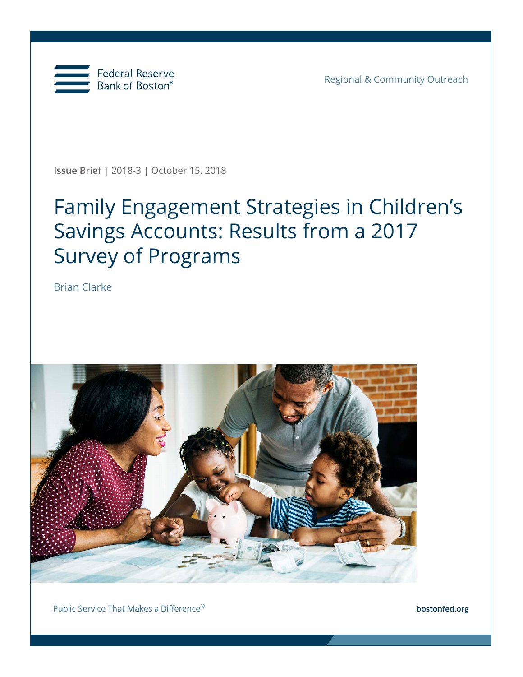

Regional & Community Outreach

**Issue Brief** | 2018-3 | October 15, 2018

# Family Engagement Strategies in Children's Savings Accounts: Results from a 2017 Survey of Programs

Brian Clarke



Public Service That Makes a Difference®

**bostonfed.org**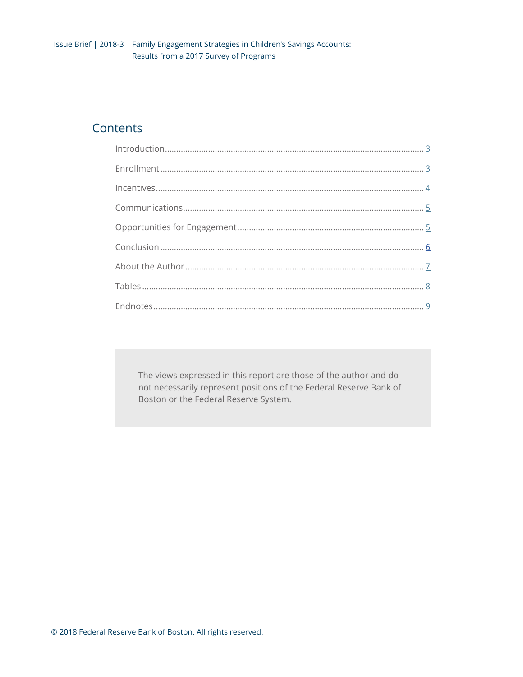### Contents

The views expressed in this report are those of the author and do not necessarily represent positions of the Federal Reserve Bank of Boston or the Federal Reserve System.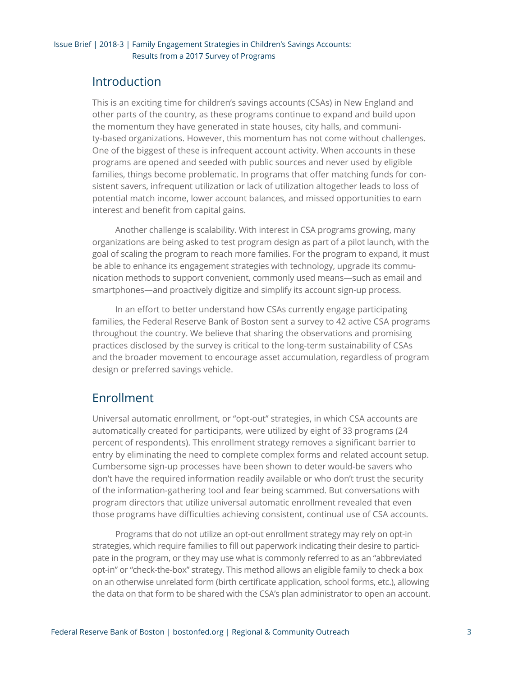### <span id="page-2-0"></span>Introduction

This is an exciting time for children's savings accounts (CSAs) in New England and other parts of the country, as these programs continue to expand and build upon the momentum they have generated in state houses, city halls, and community-based organizations. However, this momentum has not come without challenges. One of the biggest of these is infrequent account activity. When accounts in these programs are opened and seeded with public sources and never used by eligible families, things become problematic. In programs that offer matching funds for consistent savers, infrequent utilization or lack of utilization altogether leads to loss of potential match income, lower account balances, and missed opportunities to earn interest and benefit from capital gains.

Another challenge is scalability. With interest in CSA programs growing, many organizations are being asked to test program design as part of a pilot launch, with the goal of scaling the program to reach more families. For the program to expand, it must be able to enhance its engagement strategies with technology, upgrade its communication methods to support convenient, commonly used means—such as email and smartphones—and proactively digitize and simplify its account sign-up process.

In an effort to better understand how CSAs currently engage participating families, the Federal Reserve Bank of Boston sent a survey to 42 active CSA programs throughout the country. We believe that sharing the observations and promising practices disclosed by the survey is critical to the long-term sustainability of CSAs and the broader movement to encourage asset accumulation, regardless of program design or preferred savings vehicle.

# Enrollment

Universal automatic enrollment, or "opt-out" strategies, in which CSA accounts are automatically created for participants, were utilized by eight of 33 programs (24 percent of respondents). This enrollment strategy removes a significant barrier to entry by eliminating the need to complete complex forms and related account setup. Cumbersome sign-up processes have been shown to deter would-be savers who don't have the required information readily available or who don't trust the security of the information-gathering tool and fear being scammed. But conversations with program directors that utilize universal automatic enrollment revealed that even those programs have difficulties achieving consistent, continual use of CSA accounts.

Programs that do not utilize an opt-out enrollment strategy may rely on opt-in strategies, which require families to fill out paperwork indicating their desire to participate in the program, or they may use what is commonly referred to as an "abbreviated opt-in" or "check-the-box" strategy. This method allows an eligible family to check a box on an otherwise unrelated form (birth certificate application, school forms, etc.), allowing the data on that form to be shared with the CSA's plan administrator to open an account.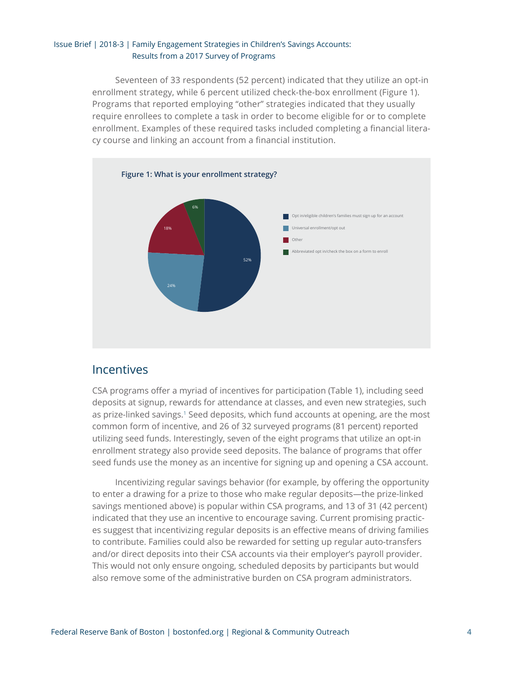#### <span id="page-3-0"></span>Issue Brief | 2018-3 | Family Engagement Strategies in Children's Savings Accounts: Results from a 2017 Survey of Programs

Seventeen of 33 respondents (52 percent) indicated that they utilize an opt-in enrollment strategy, while 6 percent utilized check-the-box enrollment (Figure 1). Programs that reported employing "other" strategies indicated that they usually require enrollees to complete a task in order to become eligible for or to complete enrollment. Examples of these required tasks included completing a financial literacy course and linking an account from a financial institution.



### Incentives

CSA programs offer a myriad of incentives for participation (Table 1), including seed deposits at signup, rewards for attendance at classes, and even new strategies, such as prize-linked savings.<sup>[1](#page-8-0)</sup> Seed deposits, which fund accounts at opening, are the most common form of incentive, and 26 of 32 surveyed programs (81 percent) reported utilizing seed funds. Interestingly, seven of the eight programs that utilize an opt-in enrollment strategy also provide seed deposits. The balance of programs that offer seed funds use the money as an incentive for signing up and opening a CSA account.

Incentivizing regular savings behavior (for example, by offering the opportunity to enter a drawing for a prize to those who make regular deposits—the prize-linked savings mentioned above) is popular within CSA programs, and 13 of 31 (42 percent) indicated that they use an incentive to encourage saving. Current promising practices suggest that incentivizing regular deposits is an effective means of driving families to contribute. Families could also be rewarded for setting up regular auto-transfers and/or direct deposits into their CSA accounts via their employer's payroll provider. This would not only ensure ongoing, scheduled deposits by participants but would also remove some of the administrative burden on CSA program administrators.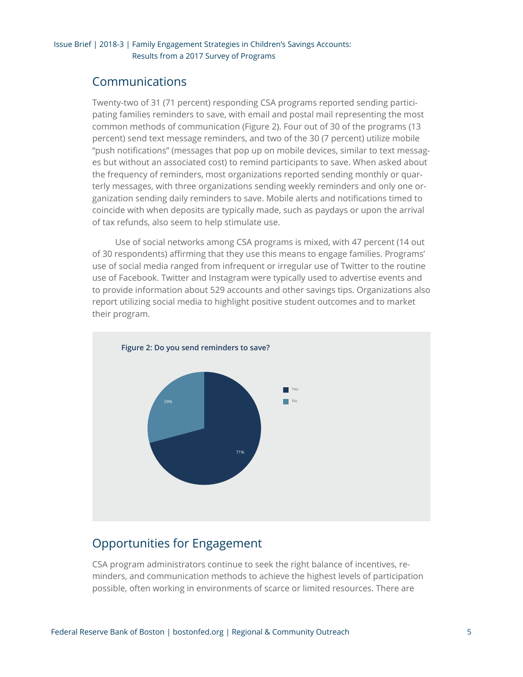## <span id="page-4-0"></span>Communications

Twenty-two of 31 (71 percent) responding CSA programs reported sending participating families reminders to save, with email and postal mail representing the most common methods of communication (Figure 2). Four out of 30 of the programs (13 percent) send text message reminders, and two of the 30 (7 percent) utilize mobile "push notifications" (messages that pop up on mobile devices, similar to text messages but without an associated cost) to remind participants to save. When asked about the frequency of reminders, most organizations reported sending monthly or quarterly messages, with three organizations sending weekly reminders and only one organization sending daily reminders to save. Mobile alerts and notifications timed to coincide with when deposits are typically made, such as paydays or upon the arrival of tax refunds, also seem to help stimulate use.

Use of social networks among CSA programs is mixed, with 47 percent (14 out of 30 respondents) affirming that they use this means to engage families. Programs' use of social media ranged from infrequent or irregular use of Twitter to the routine use of Facebook. Twitter and Instagram were typically used to advertise events and to provide information about 529 accounts and other savings tips. Organizations also report utilizing social media to highlight positive student outcomes and to market their program.



### Opportunities for Engagement

CSA program administrators continue to seek the right balance of incentives, reminders, and communication methods to achieve the highest levels of participation possible, often working in environments of scarce or limited resources. There are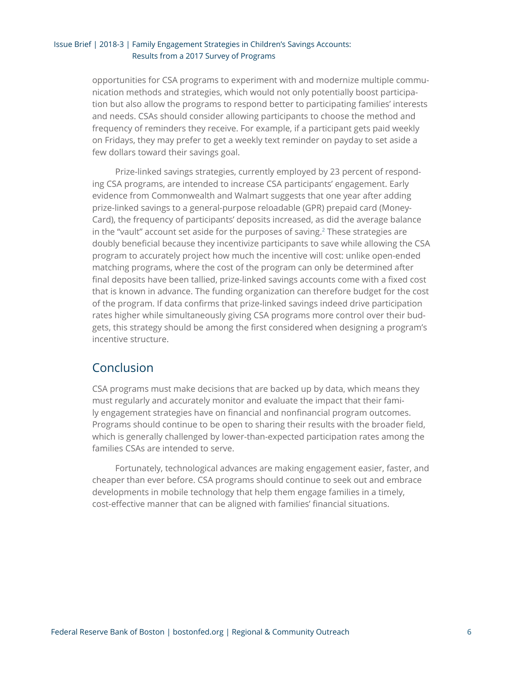#### <span id="page-5-0"></span>Issue Brief | 2018-3 | Family Engagement Strategies in Children's Savings Accounts: Results from a 2017 Survey of Programs

opportunities for CSA programs to experiment with and modernize multiple communication methods and strategies, which would not only potentially boost participation but also allow the programs to respond better to participating families' interests and needs. CSAs should consider allowing participants to choose the method and frequency of reminders they receive. For example, if a participant gets paid weekly on Fridays, they may prefer to get a weekly text reminder on payday to set aside a few dollars toward their savings goal.

Prize-linked savings strategies, currently employed by 23 percent of responding CSA programs, are intended to increase CSA participants' engagement. Early evidence from Commonwealth and Walmart suggests that one year after adding prize-linked savings to a general-purpose reloadable (GPR) prepaid card (Money-Card), the frequency of participants' deposits increased, as did the average balance in the "vault" account set aside for the purposes of saving.<sup>2</sup> These strategies are doubly beneficial because they incentivize participants to save while allowing the CSA program to accurately project how much the incentive will cost: unlike open-ended matching programs, where the cost of the program can only be determined after final deposits have been tallied, prize-linked savings accounts come with a fixed cost that is known in advance. The funding organization can therefore budget for the cost of the program. If data confirms that prize-linked savings indeed drive participation rates higher while simultaneously giving CSA programs more control over their budgets, this strategy should be among the first considered when designing a program's incentive structure.

### Conclusion

CSA programs must make decisions that are backed up by data, which means they must regularly and accurately monitor and evaluate the impact that their family engagement strategies have on financial and nonfinancial program outcomes. Programs should continue to be open to sharing their results with the broader field, which is generally challenged by lower-than-expected participation rates among the families CSAs are intended to serve.

Fortunately, technological advances are making engagement easier, faster, and cheaper than ever before. CSA programs should continue to seek out and embrace developments in mobile technology that help them engage families in a timely, cost-effective manner that can be aligned with families' financial situations.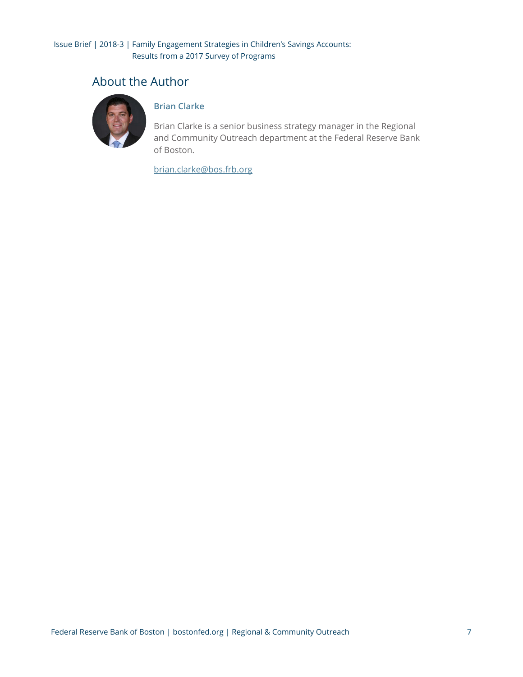### <span id="page-6-0"></span>About the Author



### **Brian Clarke**

Brian Clarke is a senior business strategy manager in the Regional and Community Outreach department at the Federal Reserve Bank of Boston.

[brian.clarke@bos.frb.org](mailto:brian.clarke@bos.frb.org)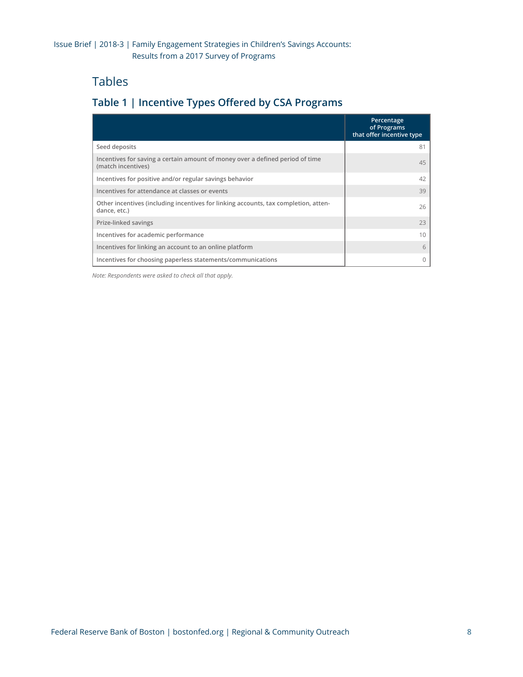## <span id="page-7-0"></span>Tables

### **Table 1 | Incentive Types Offered by CSA Programs**

|                                                                                                     | Percentage<br>of Programs<br>that offer incentive type |
|-----------------------------------------------------------------------------------------------------|--------------------------------------------------------|
| Seed deposits                                                                                       | 81                                                     |
| Incentives for saving a certain amount of money over a defined period of time<br>(match incentives) | 45                                                     |
| Incentives for positive and/or regular savings behavior                                             | 42                                                     |
| Incentives for attendance at classes or events                                                      | 39                                                     |
| Other incentives (including incentives for linking accounts, tax completion, atten-<br>dance, etc.) | 26                                                     |
| Prize-linked savings                                                                                | 23                                                     |
| Incentives for academic performance                                                                 | 10                                                     |
| Incentives for linking an account to an online platform                                             | 6                                                      |
| Incentives for choosing paperless statements/communications                                         |                                                        |

*Note: Respondents were asked to check all that apply.*